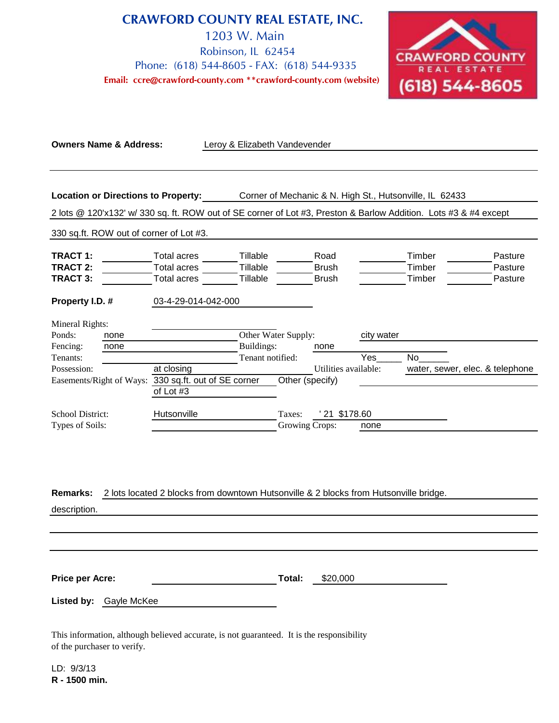**CRAWFORD COUNTY REAL ESTATE, INC.** 1203 W. Main Robinson, IL 62454 Phone: (618) 544-8605 - FAX: (618) 544-9335 **Email: ccre@crawford-county.com \*\*crawford-county.com (website)**



| <b>Owners Name &amp; Address:</b>                                                                            |                                                                | Leroy & Elizabeth Vandevender                                                                                                                                               |                                        |                                      |                   |                            |                                 |
|--------------------------------------------------------------------------------------------------------------|----------------------------------------------------------------|-----------------------------------------------------------------------------------------------------------------------------------------------------------------------------|----------------------------------------|--------------------------------------|-------------------|----------------------------|---------------------------------|
| <b>Location or Directions to Property:</b>                                                                   |                                                                | Corner of Mechanic & N. High St., Hutsonville, IL 62433<br>2 lots @ 120'x132' w/ 330 sq. ft. ROW out of SE corner of Lot #3, Preston & Barlow Addition. Lots #3 & #4 except |                                        |                                      |                   |                            |                                 |
| 330 sq.ft. ROW out of corner of Lot #3.                                                                      |                                                                |                                                                                                                                                                             |                                        |                                      |                   |                            |                                 |
| <b>TRACT 1:</b><br><b>TRACT 2:</b><br><b>TRACT 3:</b>                                                        | <b>Total acres</b><br><b>Total acres</b><br><b>Total acres</b> | Tillable<br>Tillable<br>Tillable                                                                                                                                            |                                        | Road<br><b>Brush</b><br><b>Brush</b> |                   | Timber<br>Timber<br>Timber | Pasture<br>Pasture<br>Pasture   |
| Property I.D. #                                                                                              | 03-4-29-014-042-000                                            |                                                                                                                                                                             |                                        |                                      |                   |                            |                                 |
| Mineral Rights:<br>Ponds:<br>none<br>Fencing:<br>none<br>Tenants:<br>Possession:<br>Easements/Right of Ways: | at closing                                                     | Buildings:<br>Tenant notified:<br>330 sq.ft. out of SE corner                                                                                                               | Other Water Supply:<br>Other (specify) | none<br>Utilities available:         | city water<br>Yes | <b>No</b>                  | water, sewer, elec. & telephone |
| <b>School District:</b>                                                                                      | of Lot #3<br>Hutsonville                                       |                                                                                                                                                                             | Taxes:                                 | 21 \$178.60                          |                   |                            |                                 |
| Types of Soils:                                                                                              |                                                                |                                                                                                                                                                             | <b>Growing Crops:</b>                  |                                      | none              |                            |                                 |
| <b>Remarks:</b><br>description.                                                                              |                                                                | 2 lots located 2 blocks from downtown Hutsonville & 2 blocks from Hutsonville bridge.                                                                                       |                                        |                                      |                   |                            |                                 |
| <b>Price per Acre:</b>                                                                                       |                                                                |                                                                                                                                                                             | Total:                                 | \$20,000                             |                   |                            |                                 |

**Listed by:** Gayle McKee

This information, although believed accurate, is not guaranteed. It is the responsibility of the purchaser to verify.

LD: 9/3/13 **R - 1500 min.**